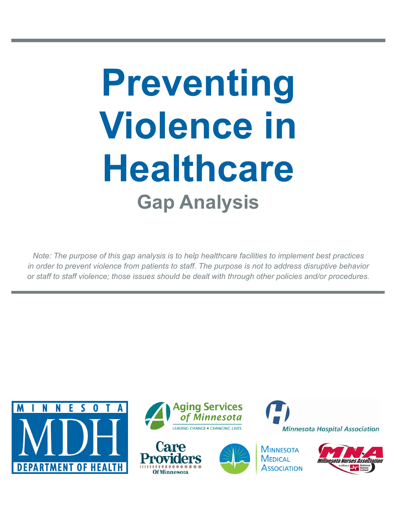# **Preventing Violence in Healthcare Gap Analysis**

*Note: The purpose of this gap analysis is to help healthcare facilities to implement best practices in order to prevent violence from patients to staff. The purpose is not to address disruptive behavior or staff to staff violence; those issues should be dealt with through other policies and/or procedures.*









**MINNESOTA MEDICAL Association** 



**Minnesota Hospital Association**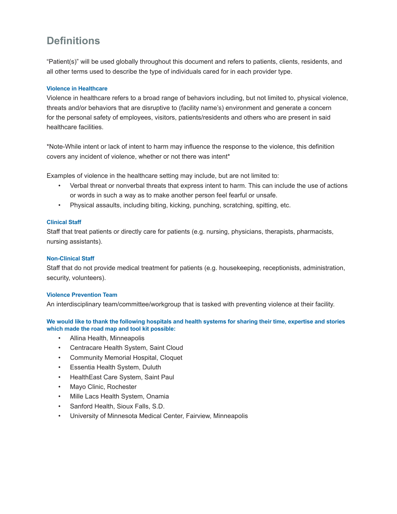### **Definitions**

"Patient(s)" will be used globally throughout this document and refers to patients, clients, residents, and all other terms used to describe the type of individuals cared for in each provider type.

#### **Violence in Healthcare**

Violence in healthcare refers to a broad range of behaviors including, but not limited to, physical violence, threats and/or behaviors that are disruptive to (facility name's) environment and generate a concern for the personal safety of employees, visitors, patients/residents and others who are present in said healthcare facilities.

\*Note-While intent or lack of intent to harm may influence the response to the violence, this definition covers any incident of violence, whether or not there was intent\*

Examples of violence in the healthcare setting may include, but are not limited to:

- Verbal threat or nonverbal threats that express intent to harm. This can include the use of actions or words in such a way as to make another person feel fearful or unsafe.
- Physical assaults, including biting, kicking, punching, scratching, spitting, etc.

#### **Clinical Staff**

Staff that treat patients or directly care for patients (e.g. nursing, physicians, therapists, pharmacists, nursing assistants).

#### **Non-Clinical Staff**

Staff that do not provide medical treatment for patients (e.g. housekeeping, receptionists, administration, security, volunteers).

#### **Violence Prevention Team**

An interdisciplinary team/committee/workgroup that is tasked with preventing violence at their facility.

**We would like to thank the following hospitals and health systems for sharing their time, expertise and stories which made the road map and tool kit possible:**

- Allina Health, Minneapolis
- Centracare Health System, Saint Cloud
- Community Memorial Hospital, Cloquet
- Essentia Health System, Duluth
- HealthEast Care System, Saint Paul
- Mayo Clinic, Rochester
- Mille Lacs Health System, Onamia
- Sanford Health, Sioux Falls, S.D.
- University of Minnesota Medical Center, Fairview, Minneapolis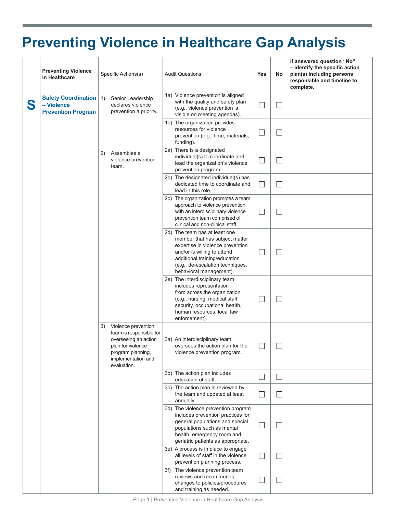## **Preventing Violence in Healthcare Gap Analysis**

|   | <b>Preventing Violence</b><br>in Healthcare                           |    | Specific Actions(s)                                                                                                                                   |     | <b>Audit Questions</b>                                                                                                                                                                                                             | <b>Yes</b> | No                | If answered question "No"<br>- identify the specific action<br>plan(s) including persons<br>responsible and timeline to<br>complete. |
|---|-----------------------------------------------------------------------|----|-------------------------------------------------------------------------------------------------------------------------------------------------------|-----|------------------------------------------------------------------------------------------------------------------------------------------------------------------------------------------------------------------------------------|------------|-------------------|--------------------------------------------------------------------------------------------------------------------------------------|
| S | <b>Safety Coordination</b><br>- Violence<br><b>Prevention Program</b> | 1) | Senior Leadership<br>declares violence<br>prevention a priority.                                                                                      |     | 1a) Violence prevention is aligned<br>with the quality and safety plan<br>(e.g., violence prevention is<br>visible on meeting agendas).                                                                                            |            |                   |                                                                                                                                      |
|   |                                                                       |    |                                                                                                                                                       |     | 1b) The organization provides<br>resources for violence<br>prevention (e.g., time, materials,<br>funding).                                                                                                                         |            |                   |                                                                                                                                      |
|   |                                                                       | 2) | Assembles a<br>violence prevention<br>team.                                                                                                           |     | 2a) There is a designated<br>individual(s) to coordinate and<br>lead the organization's violence<br>prevention program.                                                                                                            |            |                   |                                                                                                                                      |
|   |                                                                       |    |                                                                                                                                                       |     | 2b) The designated individual(s) has<br>dedicated time to coordinate and<br>lead in this role.                                                                                                                                     |            |                   |                                                                                                                                      |
|   |                                                                       |    | Violence prevention<br>team is responsible for<br>overseeing an action<br>plan for violence<br>program planning,<br>implementation and<br>evaluation. |     | 2c) The organization promotes a team<br>approach to violence prevention<br>with an interdisciplinary violence<br>prevention team comprised of<br>clinical and non-clinical staff.                                                  |            |                   |                                                                                                                                      |
|   |                                                                       | 3) |                                                                                                                                                       |     | 2d) The team has at least one<br>member that has subject matter<br>expertise in violence prevention<br>and/or is willing to attend<br>additional training/education<br>(e.g., de-escalation techniques,<br>behavioral management). |            |                   |                                                                                                                                      |
|   |                                                                       |    |                                                                                                                                                       |     | 2e) The interdisciplinary team<br>includes representation<br>from across the organization<br>(e.g., nursing, medical staff,<br>security, occupational health,<br>human resources, local law<br>enforcement).                       |            |                   |                                                                                                                                      |
|   |                                                                       |    |                                                                                                                                                       |     | 3a) An interdisciplinary team<br>oversees the action plan for the<br>violence prevention program.                                                                                                                                  |            |                   |                                                                                                                                      |
|   |                                                                       |    |                                                                                                                                                       |     | 3b) The action plan includes<br>education of staff.                                                                                                                                                                                |            | $\vert \ \ \vert$ |                                                                                                                                      |
|   |                                                                       |    |                                                                                                                                                       |     | 3c) The action plan is reviewed by<br>the team and updated at least<br>annually.                                                                                                                                                   |            |                   |                                                                                                                                      |
|   |                                                                       |    |                                                                                                                                                       |     | 3d) The violence prevention program<br>includes prevention practices for<br>general populations and special<br>populations such as mental<br>health, emergency room and<br>geriatric patients as appropriate.                      |            |                   |                                                                                                                                      |
|   |                                                                       |    |                                                                                                                                                       |     | 3e) A process is in place to engage<br>all levels of staff in the violence<br>prevention planning process.                                                                                                                         |            |                   |                                                                                                                                      |
|   |                                                                       |    |                                                                                                                                                       | 3f) | The violence prevention team<br>reviews and recommends<br>changes to policies/procedures<br>and training as needed.                                                                                                                |            |                   |                                                                                                                                      |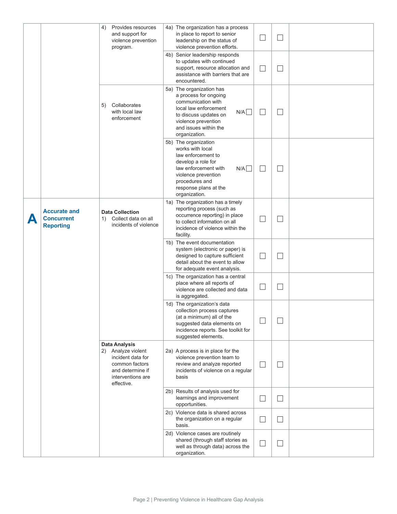|          |                                                              | 4)<br>Provides resources<br>and support for<br>violence prevention<br>program.                                                              | 4a) The organization has a process<br>in place to report to senior<br>leadership on the status of<br>violence prevention efforts.                                                                      | $\overline{a}$              |                   |  |
|----------|--------------------------------------------------------------|---------------------------------------------------------------------------------------------------------------------------------------------|--------------------------------------------------------------------------------------------------------------------------------------------------------------------------------------------------------|-----------------------------|-------------------|--|
|          |                                                              |                                                                                                                                             | 4b) Senior leadership responds<br>to updates with continued<br>support, resource allocation and<br>assistance with barriers that are<br>encountered.                                                   | $\mathcal{L}_{\mathcal{A}}$ |                   |  |
|          |                                                              | Collaborates<br>5)<br>with local law<br>enforcement                                                                                         | 5a) The organization has<br>a process for ongoing<br>communication with<br>local law enforcement<br>N/A<br>to discuss updates on<br>violence prevention<br>and issues within the<br>organization.      | ×                           |                   |  |
|          |                                                              |                                                                                                                                             | 5b) The organization<br>works with local<br>law enforcement to<br>develop a role for<br>law enforcement with<br>N/A<br>violence prevention<br>procedures and<br>response plans at the<br>organization. | ×                           | ⊔                 |  |
| $\Delta$ | <b>Accurate and</b><br><b>Concurrent</b><br><b>Reporting</b> | <b>Data Collection</b><br>Collect data on all<br>1)<br>incidents of violence                                                                | 1a) The organization has a timely<br>reporting process (such as<br>occurrence reporting) in place<br>to collect information on all<br>incidence of violence within the<br>facility.                    |                             |                   |  |
|          |                                                              |                                                                                                                                             | 1b) The event documentation<br>system (electronic or paper) is<br>designed to capture sufficient<br>detail about the event to allow<br>for adequate event analysis.                                    |                             |                   |  |
|          |                                                              |                                                                                                                                             | 1c) The organization has a central<br>place where all reports of<br>violence are collected and data<br>is aggregated.                                                                                  | J.                          |                   |  |
|          |                                                              |                                                                                                                                             | 1d) The organization's data<br>collection process captures<br>(at a minimum) all of the<br>suggested data elements on<br>incidence reports. See toolkit for<br>suggested elements.                     |                             |                   |  |
|          |                                                              | <b>Data Analysis</b><br>Analyze violent<br>2)<br>incident data for<br>common factors<br>and determine if<br>interventions are<br>effective. | 2a) A process is in place for the<br>violence prevention team to<br>review and analyze reported<br>incidents of violence on a regular<br>basis                                                         | ×                           | $\vert \ \ \vert$ |  |
|          |                                                              |                                                                                                                                             | 2b) Results of analysis used for<br>learnings and improvement<br>opportunities.                                                                                                                        | ┘                           | ⊔                 |  |
|          |                                                              |                                                                                                                                             | 2c) Violence data is shared across<br>the organization on a regular<br>basis.                                                                                                                          | $\overline{\phantom{a}}$    | $\vert \ \ \vert$ |  |
|          |                                                              |                                                                                                                                             | 2d) Violence cases are routinely<br>shared (through staff stories as<br>well as through data) across the<br>organization.                                                                              | $\overline{\phantom{a}}$    |                   |  |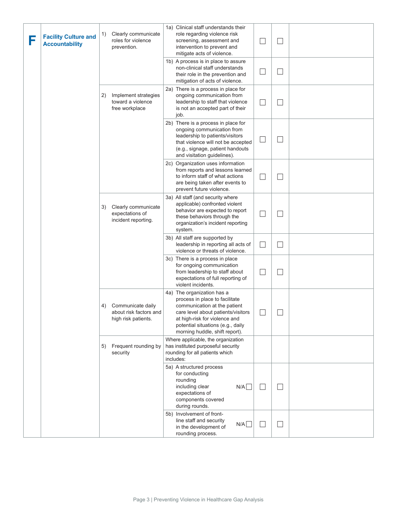| F | <b>Facility Culture and</b><br><b>Accountability</b> | 1) | Clearly communicate<br>roles for violence<br>prevention.           | 1a) Clinical staff understands their<br>role regarding violence risk<br>screening, assessment and<br>intervention to prevent and<br>mitigate acts of violence.<br>1b) A process is in place to assure<br>non-clinical staff understands    | $\Box$                   |    |  |
|---|------------------------------------------------------|----|--------------------------------------------------------------------|--------------------------------------------------------------------------------------------------------------------------------------------------------------------------------------------------------------------------------------------|--------------------------|----|--|
|   |                                                      |    |                                                                    | their role in the prevention and<br>mitigation of acts of violence.                                                                                                                                                                        | $\Box$                   |    |  |
|   |                                                      | 2) | Implement strategies<br>toward a violence<br>free workplace        | 2a) There is a process in place for<br>ongoing communication from<br>leadership to staff that violence<br>is not an accepted part of their<br>job.                                                                                         | $\sim$                   |    |  |
|   |                                                      |    |                                                                    | 2b) There is a process in place for<br>ongoing communication from<br>leadership to patients/visitors<br>that violence will not be accepted<br>(e.g., signage, patient handouts<br>and visitation guidelines).                              | $\Box$                   |    |  |
|   |                                                      |    |                                                                    | 2c) Organization uses information<br>from reports and lessons learned<br>to inform staff of what actions<br>are being taken after events to<br>prevent future violence.                                                                    | $\Box$                   |    |  |
|   |                                                      | 3) | Clearly communicate<br>expectations of<br>incident reporting.      | 3a) All staff (and security where<br>applicable) confronted violent<br>behavior are expected to report<br>these behaviors through the<br>organization's incident reporting<br>system.                                                      | $\overline{\phantom{a}}$ |    |  |
|   |                                                      |    |                                                                    | 3b) All staff are supported by<br>leadership in reporting all acts of<br>violence or threats of violence.                                                                                                                                  | $\Box$                   |    |  |
|   |                                                      |    |                                                                    | 3c) There is a process in place<br>for ongoing communication<br>from leadership to staff about<br>expectations of full reporting of<br>violent incidents.                                                                                  |                          |    |  |
|   |                                                      | 4) | Communicate daily<br>about risk factors and<br>high risk patients. | 4a) The organization has a<br>process in place to facilitate<br>communication at the patient<br>care level about patients/visitors<br>at high-risk for violence and<br>potential situations (e.g., daily<br>morning huddle, shift report). | ᄂ                        |    |  |
|   |                                                      | 5) | Frequent rounding by<br>security                                   | Where applicable, the organization<br>has instituted purposeful security<br>rounding for all patients which<br>includes:                                                                                                                   |                          |    |  |
|   |                                                      |    |                                                                    | 5a) A structured process<br>for conducting<br>rounding<br>including clear<br>N/A<br>expectations of<br>components covered<br>during rounds.                                                                                                | $\overline{\phantom{a}}$ | L. |  |
|   |                                                      |    |                                                                    | 5b) Involvement of front-<br>line staff and security<br>N/A<br>in the development of<br>rounding process.                                                                                                                                  |                          |    |  |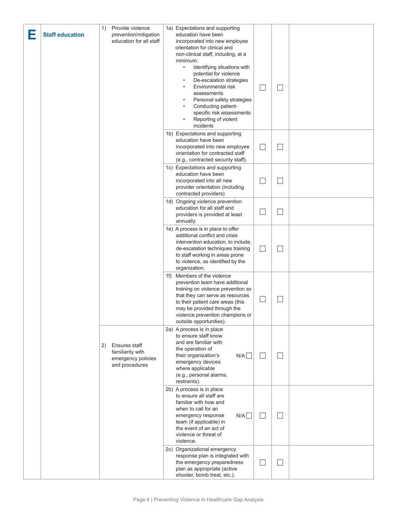| Е | <b>Staff education</b> | 1) | Provide violence<br>prevention/mitigation<br>education for all staff      | 1a) Expectations and supporting<br>education have been<br>incorporated into new employee<br>orientation for clinical and<br>non-clinical staff, including, at a<br>minimum:<br>Identifying situations with<br>$\bullet$<br>potential for violence<br>De-escalation strategies<br>Environmental risk<br>assessments<br>Personal safety strategies<br>Conducting patient-<br>specific risk assessments<br>Reporting of violent<br>incidents |        | $\overline{\phantom{a}}$ |  |
|---|------------------------|----|---------------------------------------------------------------------------|-------------------------------------------------------------------------------------------------------------------------------------------------------------------------------------------------------------------------------------------------------------------------------------------------------------------------------------------------------------------------------------------------------------------------------------------|--------|--------------------------|--|
|   |                        |    |                                                                           | 1b) Expectations and supporting<br>education have been<br>incorporated into new employee<br>orientation for contracted staff<br>(e.g., contracted security staff).                                                                                                                                                                                                                                                                        | $\Box$ | $\mathbf{L}$             |  |
|   |                        |    |                                                                           | 1c) Expectations and supporting<br>education have been<br>incorporated into all new<br>provider orientation (including<br>contracted providers)                                                                                                                                                                                                                                                                                           |        | $\Box$                   |  |
|   |                        |    |                                                                           | 1d) Ongoing violence prevention<br>education for all staff and<br>providers is provided at least<br>annually.                                                                                                                                                                                                                                                                                                                             |        | ×.                       |  |
|   |                        |    |                                                                           | 1e) A process is in place to offer<br>additional conflict and crisis<br>intervention education, to include,<br>de-escalation techniques training<br>to staff working in areas prone<br>to violence, as identified by the<br>organization.                                                                                                                                                                                                 |        |                          |  |
|   |                        |    |                                                                           | 1f) Members of the violence<br>prevention team have additional<br>training on violence prevention so<br>that they can serve as resources<br>to their patient care areas (this<br>may be provided through the<br>violence prevention champions or<br>outside opportunities).                                                                                                                                                               |        |                          |  |
|   |                        | 2) | Ensures staff<br>familiarity with<br>emergency policies<br>and procedures | 2a) A process is in place<br>to ensure staff know<br>and are familiar with<br>the operation of<br>N/A<br>their organization's<br>emergency devices<br>where applicable<br>(e.g., personal alarms,<br>restraints).                                                                                                                                                                                                                         |        | $\Box$                   |  |
|   |                        |    |                                                                           | 2b) A process is in place<br>to ensure all staff are<br>familiar with how and<br>when to call for an<br>N/A<br>emergency response<br>team (if applicable) in<br>the event of an act of<br>violence or threat of<br>violence.                                                                                                                                                                                                              | $\Box$ | $\Box$                   |  |
|   |                        |    |                                                                           | 2c) Organizational emergency<br>response plan is integrated with<br>the emergency preparedness<br>plan as appropriate (active<br>shooter, bomb treat, etc.).                                                                                                                                                                                                                                                                              | $\Box$ | $\Box$                   |  |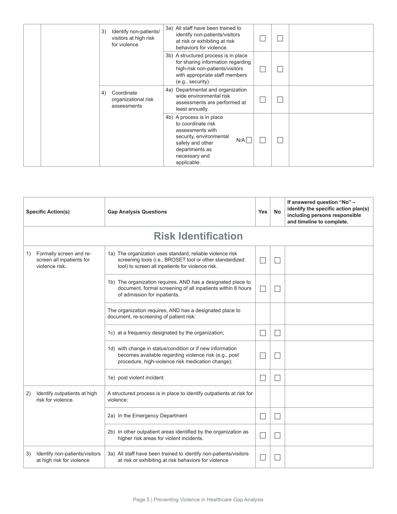| 3) | Identify non-patients/<br>visitors at high risk<br>for violence | 3a) All staff have been trained to<br>identify non-patients/visitors<br>at risk or exhibiting at risk<br>behaviors for violence.                                             |  |  |
|----|-----------------------------------------------------------------|------------------------------------------------------------------------------------------------------------------------------------------------------------------------------|--|--|
|    |                                                                 | 3b) A structured process is in place<br>for sharing information regarding<br>high-risk non-patients/visitors<br>with appropriate staff members<br>(e.g., security).          |  |  |
| 4) | Coordinate<br>organizational risk<br>assessments                | 4a) Departmental and organization<br>wide environmental risk<br>assessments are performed at<br>least annually.                                                              |  |  |
|    |                                                                 | 4b) A process is in place<br>to coordinate risk<br>assessments with<br>security, environmental<br>N/A <br>safety and other<br>departments as<br>necessary and<br>applicable. |  |  |

|    | <b>Specific Action(s)</b>                                              | <b>Gap Analysis Questions</b>                                                                                                                                               | <b>Yes</b> | <b>No</b> | If answered question "No" -<br>identify the specific action plan(s)<br>including persons responsible<br>and timeline to complete. |
|----|------------------------------------------------------------------------|-----------------------------------------------------------------------------------------------------------------------------------------------------------------------------|------------|-----------|-----------------------------------------------------------------------------------------------------------------------------------|
|    |                                                                        | <b>Risk Identification</b>                                                                                                                                                  |            |           |                                                                                                                                   |
| 1) | Formally screen and re-<br>screen all inpatients for<br>violence risk. | 1a) The organization uses standard, reliable violence risk<br>screening tools (i.e., BROSET tool or other standardized<br>tool) to screen all inpatients for violence risk. |            |           |                                                                                                                                   |
|    |                                                                        | 1b) The organization requires, AND has a designated place to<br>document, formal screening of all inpatients within 8 hours<br>of admission for inpatients.                 |            |           |                                                                                                                                   |
|    |                                                                        | The organization requires, AND has a designated place to<br>document, re-screening of patient risk:                                                                         |            |           |                                                                                                                                   |
|    |                                                                        | 1c) at a frequency designated by the organization;                                                                                                                          |            | П         |                                                                                                                                   |
|    |                                                                        | 1d) with change in status/condition or if new information<br>becomes available regarding violence risk (e.g., post<br>procedure, high-violence risk medication change);     |            |           |                                                                                                                                   |
|    |                                                                        | 1e) post violent incident                                                                                                                                                   |            | $\Box$    |                                                                                                                                   |
| 2) | Identify outpatients at high<br>risk for violence.                     | A structured process is in place to identify outpatients at risk for<br>violence:                                                                                           |            |           |                                                                                                                                   |
|    | 2a) In the Emergency Department                                        |                                                                                                                                                                             |            |           |                                                                                                                                   |
|    |                                                                        | 2b) In other outpatient areas identified by the organization as<br>higher risk areas for violent incidents.                                                                 |            |           |                                                                                                                                   |
| 3) | Identify non-patients/visitors<br>at high risk for violence            | 3a) All staff have been trained to identify non-patients/visitors<br>at risk or exhibiting at risk behaviors for violence                                                   |            |           |                                                                                                                                   |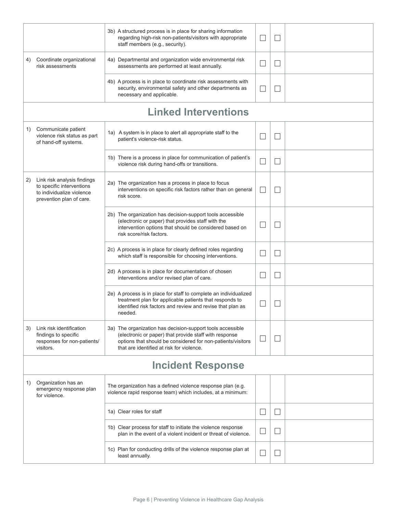|                                                                                                                         | 3b) A structured process is in place for sharing information<br>regarding high-risk non-patients/visitors with appropriate<br>staff members (e.g., security).                                                                    | $\vert \ \ \vert$ | $\blacksquare$    |  |
|-------------------------------------------------------------------------------------------------------------------------|----------------------------------------------------------------------------------------------------------------------------------------------------------------------------------------------------------------------------------|-------------------|-------------------|--|
| Coordinate organizational<br>4)<br>risk assessments                                                                     | 4a) Departmental and organization wide environmental risk<br>assessments are performed at least annually.                                                                                                                        |                   | $\blacksquare$    |  |
|                                                                                                                         | 4b) A process is in place to coordinate risk assessments with<br>security, environmental safety and other departments as<br>necessary and applicable.                                                                            |                   | ×.                |  |
|                                                                                                                         | <b>Linked Interventions</b>                                                                                                                                                                                                      |                   |                   |  |
| Communicate patient<br>1)<br>violence risk status as part<br>of hand-off systems.                                       | 1a) A system is in place to alert all appropriate staff to the<br>patient's violence-risk status.                                                                                                                                |                   |                   |  |
|                                                                                                                         | 1b) There is a process in place for communication of patient's<br>violence risk during hand-offs or transitions.                                                                                                                 |                   | $\blacksquare$    |  |
| Link risk analysis findings<br>2)<br>to specific interventions<br>to individualize violence<br>prevention plan of care. | 2a) The organization has a process in place to focus<br>interventions on specific risk factors rather than on general<br>risk score.                                                                                             |                   |                   |  |
|                                                                                                                         | 2b) The organization has decision-support tools accessible<br>(electronic or paper) that provides staff with the<br>intervention options that should be considered based on<br>risk score/risk factors.                          | $\vert \ \ \vert$ | $\vert \ \ \vert$ |  |
|                                                                                                                         | 2c) A process is in place for clearly defined roles regarding<br>which staff is responsible for choosing interventions.                                                                                                          |                   |                   |  |
|                                                                                                                         | 2d) A process is in place for documentation of chosen<br>interventions and/or revised plan of care.                                                                                                                              |                   | $\vert \ \ \vert$ |  |
|                                                                                                                         | 2e) A process is in place for staff to complete an individualized<br>treatment plan for applicable patients that responds to<br>identified risk factors and review and revise that plan as<br>needed.                            |                   |                   |  |
| Link risk identification<br>3)<br>findings to specific<br>responses for non-patients/<br>visitors.                      | 3a) The organization has decision-support tools accessible<br>(electronic or paper) that provide staff with response<br>options that should be considered for non-patients/visitors<br>that are identified at risk for violence. |                   |                   |  |
|                                                                                                                         | <b>Incident Response</b>                                                                                                                                                                                                         |                   |                   |  |
| Organization has an<br>1)<br>emergency response plan<br>for violence.                                                   | The organization has a defined violence response plan (e.g.<br>violence rapid response team) which includes, at a minimum:                                                                                                       |                   |                   |  |
|                                                                                                                         | 1a) Clear roles for staff                                                                                                                                                                                                        | $\vert \ \ \vert$ | $\vert \ \ \vert$ |  |
|                                                                                                                         | 1b) Clear process for staff to initiate the violence response<br>plan in the event of a violent incident or threat of violence.                                                                                                  | $\vert \ \ \vert$ | $\vert \ \ \vert$ |  |
|                                                                                                                         | 1c) Plan for conducting drills of the violence response plan at<br>least annually.                                                                                                                                               |                   | $\blacksquare$    |  |